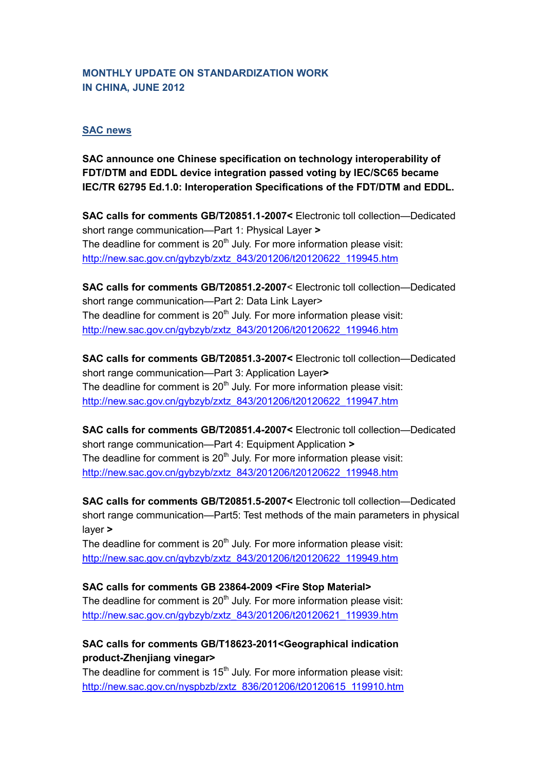### **MONTHLY UPDATE ON STANDARDIZATION WORK IN CHINA, JUNE 2012**

### **SAC news**

**SAC announce one Chinese specification on technology interoperability of FDT/DTM and EDDL device integration passed voting by IEC/SC65 became IEC/TR 62795 Ed.1.0: Interoperation Specifications of the FDT/DTM and EDDL.** 

**SAC calls for comments GB/T20851.1-2007<** Electronic toll collection—Dedicated short range communication—Part 1: Physical Layer **>** The deadline for comment is  $20<sup>th</sup>$  July. For more information please visit: [http://new.sac.gov.cn/gybzyb/zxtz\\_843/201206/t20120622\\_119945.htm](http://new.sac.gov.cn/gybzyb/zxtz_843/201206/t20120622_119945.htm)

**SAC calls for comments GB/T20851.2-2007**< Electronic toll collection—Dedicated short range communication—Part 2: Data Link Layer> The deadline for comment is  $20<sup>th</sup>$  July. For more information please visit: [http://new.sac.gov.cn/gybzyb/zxtz\\_843/201206/t20120622\\_119946.htm](http://new.sac.gov.cn/gybzyb/zxtz_843/201206/t20120622_119946.htm)

**SAC calls for comments GB/T20851.3-2007<** Electronic toll collection—Dedicated short range communication—Part 3: Application Layer**>** The deadline for comment is  $20<sup>th</sup>$  July. For more information please visit: [http://new.sac.gov.cn/gybzyb/zxtz\\_843/201206/t20120622\\_119947.htm](http://new.sac.gov.cn/gybzyb/zxtz_843/201206/t20120622_119947.htm)

**SAC calls for comments GB/T20851.4-2007<** Electronic toll collection—Dedicated short range communication—Part 4: Equipment Application **>** The deadline for comment is  $20<sup>th</sup>$  July. For more information please visit: [http://new.sac.gov.cn/gybzyb/zxtz\\_843/201206/t20120622\\_119948.htm](http://new.sac.gov.cn/gybzyb/zxtz_843/201206/t20120622_119948.htm)

**SAC calls for comments GB/T20851.5-2007<** Electronic toll collection—Dedicated short range communication—Part5: Test methods of the main parameters in physical layer **>**

The deadline for comment is  $20<sup>th</sup>$  July. For more information please visit: [http://new.sac.gov.cn/gybzyb/zxtz\\_843/201206/t20120622\\_119949.htm](http://new.sac.gov.cn/gybzyb/zxtz_843/201206/t20120622_119949.htm)

### **SAC calls for comments GB 23864-2009 <Fire Stop Material>**

The deadline for comment is 20<sup>th</sup> July. For more information please visit: [http://new.sac.gov.cn/gybzyb/zxtz\\_843/201206/t20120621\\_119939.htm](http://new.sac.gov.cn/gybzyb/zxtz_843/201206/t20120621_119939.htm)

## **SAC calls for comments GB/T18623-2011<Geographical indication product-Zhenjiang vinegar>**

The deadline for comment is  $15<sup>th</sup>$  July. For more information please visit: [http://new.sac.gov.cn/nyspbzb/zxtz\\_836/201206/t20120615\\_119910.htm](http://new.sac.gov.cn/nyspbzb/zxtz_836/201206/t20120615_119910.htm)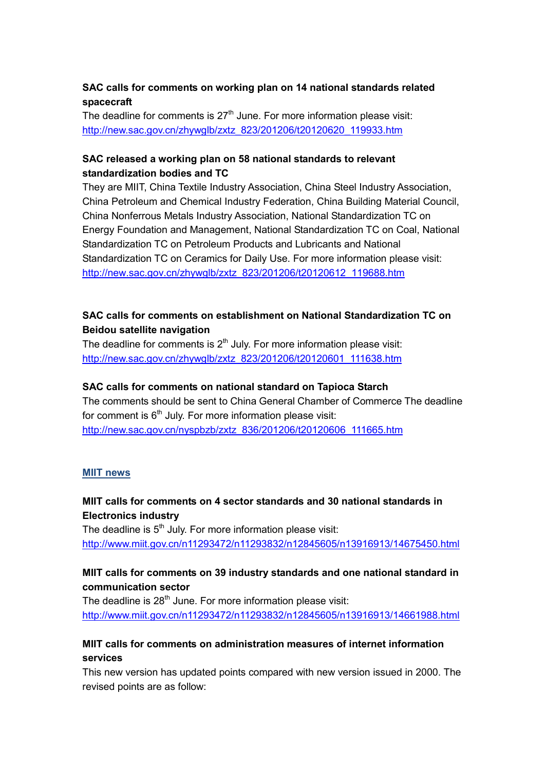## **SAC calls for comments on working plan on 14 national standards related spacecraft**

The deadline for comments is  $27<sup>th</sup>$  June. For more information please visit: [http://new.sac.gov.cn/zhywglb/zxtz\\_823/201206/t20120620\\_119933.htm](http://new.sac.gov.cn/zhywglb/zxtz_823/201206/t20120620_119933.htm)

### **SAC released a working plan on 58 national standards to relevant standardization bodies and TC**

They are MIIT, China Textile Industry Association, China Steel Industry Association, China Petroleum and Chemical Industry Federation, China Building Material Council, China Nonferrous Metals Industry Association, National Standardization TC on Energy Foundation and Management, National Standardization TC on Coal, National Standardization TC on Petroleum Products and Lubricants and National Standardization TC on Ceramics for Daily Use. For more information please visit: [http://new.sac.gov.cn/zhywglb/zxtz\\_823/201206/t20120612\\_119688.htm](http://new.sac.gov.cn/zhywglb/zxtz_823/201206/t20120612_119688.htm)

### **SAC calls for comments on establishment on National Standardization TC on Beidou satellite navigation**

The deadline for comments is  $2<sup>th</sup>$  July. For more information please visit: [http://new.sac.gov.cn/zhywglb/zxtz\\_823/201206/t20120601\\_111638.htm](http://new.sac.gov.cn/zhywglb/zxtz_823/201206/t20120601_111638.htm)

### **SAC calls for comments on national standard on Tapioca Starch**

The comments should be sent to China General Chamber of Commerce The deadline for comment is  $6<sup>th</sup>$  July. For more information please visit: [http://new.sac.gov.cn/nyspbzb/zxtz\\_836/201206/t20120606\\_111665.htm](http://new.sac.gov.cn/nyspbzb/zxtz_836/201206/t20120606_111665.htm)

### **MIIT news**

## **MIIT calls for comments on 4 sector standards and 30 national standards in Electronics industry**

The deadline is  $5<sup>th</sup>$  July. For more information please visit: <http://www.miit.gov.cn/n11293472/n11293832/n12845605/n13916913/14675450.html>

## **MIIT calls for comments on 39 industry standards and one national standard in communication sector**

The deadline is 28<sup>th</sup> June. For more information please visit: <http://www.miit.gov.cn/n11293472/n11293832/n12845605/n13916913/14661988.html>

## **MIIT calls for comments on administration measures of internet information services**

This new version has updated points compared with new version issued in 2000. The revised points are as follow: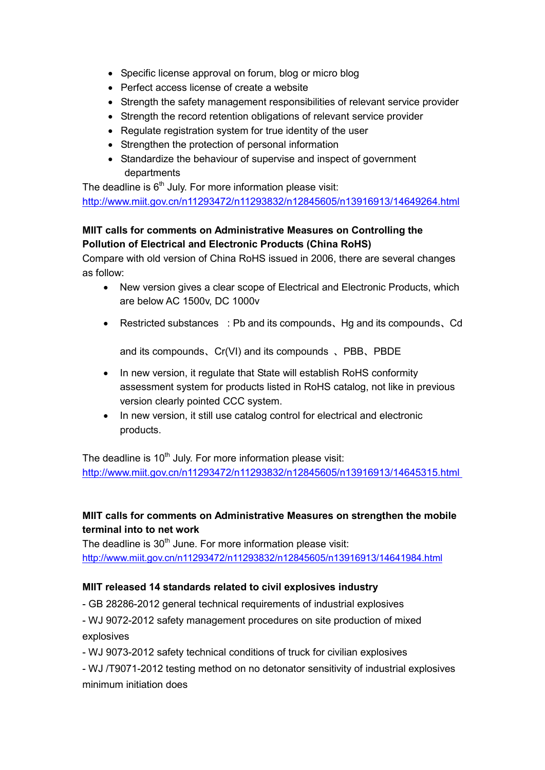- Specific license approval on forum, blog or micro blog
- Perfect access license of create a website
- Strength the safety management responsibilities of relevant service provider
- Strength the record retention obligations of relevant service provider
- Regulate registration system for true identity of the user
- Strengthen the protection of personal information
- Standardize the behaviour of supervise and inspect of government departments

The deadline is  $6<sup>th</sup>$  July. For more information please visit: <http://www.miit.gov.cn/n11293472/n11293832/n12845605/n13916913/14649264.html>

# **MIIT calls for comments on Administrative Measures on Controlling the Pollution of Electrical and Electronic Products (China RoHS)**

Compare with old version of China RoHS issued in 2006, there are several changes as follow:

- New version gives a clear scope of Electrical and Electronic Products, which are below AC 1500v, DC 1000v
- Restricted substances :Pb and its compounds、Hg and its compounds、Cd

and its compounds、Cr(VI) and its compounds 、PBB、PBDE

- In new version, it regulate that State will establish RoHS conformity assessment system for products listed in RoHS catalog, not like in previous version clearly pointed CCC system.
- In new version, it still use catalog control for electrical and electronic products.

The deadline is  $10<sup>th</sup>$  July. For more information please visit: <http://www.miit.gov.cn/n11293472/n11293832/n12845605/n13916913/14645315.html>

# **MIIT calls for comments on Administrative Measures on strengthen the mobile terminal into to net work**

The deadline is  $30<sup>th</sup>$  June. For more information please visit: <http://www.miit.gov.cn/n11293472/n11293832/n12845605/n13916913/14641984.html>

# **MIIT released 14 standards related to civil explosives industry**

- GB 28286-2012 general technical requirements of industrial explosives

- WJ 9072-2012 safety management procedures on site production of mixed explosives

- WJ 9073-2012 safety technical conditions of truck for civilian explosives

- WJ /T9071-2012 testing method on no detonator sensitivity of industrial explosives minimum initiation does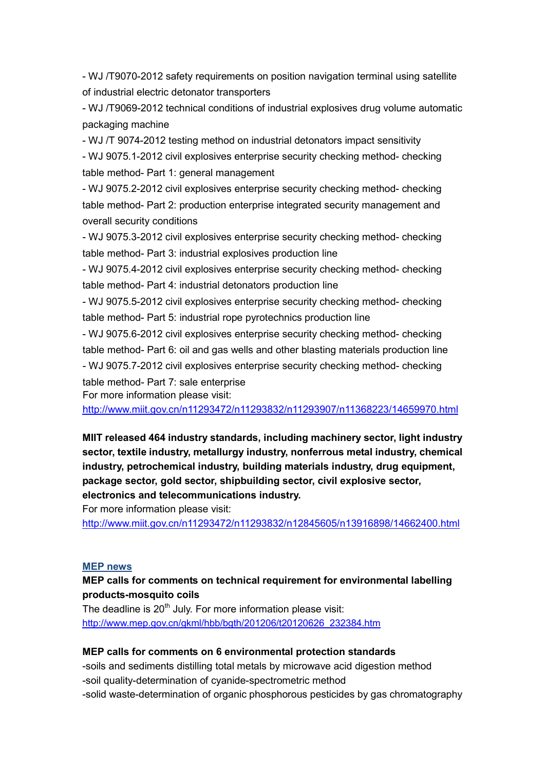- WJ /T9070-2012 safety requirements on position navigation terminal using satellite of industrial electric detonator transporters

- WJ /T9069-2012 technical conditions of industrial explosives drug volume automatic packaging machine

- WJ /T 9074-2012 testing method on industrial detonators impact sensitivity

- WJ 9075.1-2012 civil explosives enterprise security checking method- checking table method- Part 1: general management

- WJ 9075.2-2012 civil explosives enterprise security checking method- checking table method- Part 2: production enterprise integrated security management and overall security conditions

- WJ 9075.3-2012 civil explosives enterprise security checking method- checking table method- Part 3: industrial explosives production line

- WJ 9075.4-2012 civil explosives enterprise security checking method- checking table method- Part 4: industrial detonators production line

- WJ 9075.5-2012 civil explosives enterprise security checking method- checking table method- Part 5: industrial rope pyrotechnics production line

- WJ 9075.6-2012 civil explosives enterprise security checking method- checking table method- Part 6: oil and gas wells and other blasting materials production line

- WJ 9075.7-2012 civil explosives enterprise security checking method- checking table method- Part 7: sale enterprise

For more information please visit:

<http://www.miit.gov.cn/n11293472/n11293832/n11293907/n11368223/14659970.html>

**MIIT released 464 industry standards, including machinery sector, light industry sector, textile industry, metallurgy industry, nonferrous metal industry, chemical industry, petrochemical industry, building materials industry, drug equipment, package sector, gold sector, shipbuilding sector, civil explosive sector, electronics and telecommunications industry.**

For more information please visit:

<http://www.miit.gov.cn/n11293472/n11293832/n12845605/n13916898/14662400.html>

## **MEP news**

### **MEP calls for comments on technical requirement for environmental labelling products-mosquito coils**

The deadline is  $20<sup>th</sup>$  July. For more information please visit: [http://www.mep.gov.cn/gkml/hbb/bgth/201206/t20120626\\_232384.htm](http://www.mep.gov.cn/gkml/hbb/bgth/201206/t20120626_232384.htm)

### **MEP calls for comments on 6 environmental protection standards**

-soils and sediments distilling total metals by microwave acid digestion method -soil quality-determination of cyanide-spectrometric method

-solid waste-determination of organic phosphorous pesticides by gas chromatography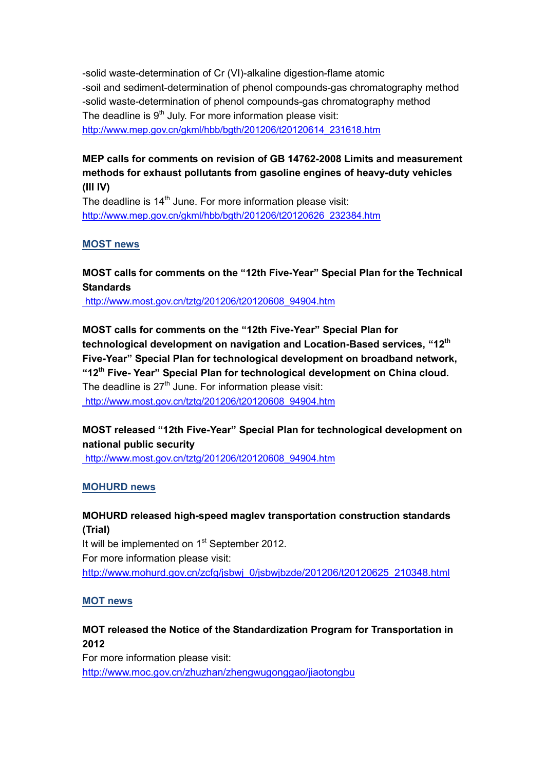-solid waste-determination of Cr (VI)-alkaline digestion-flame atomic -soil and sediment-determination of phenol compounds-gas chromatography method -solid waste-determination of phenol compounds-gas chromatography method The deadline is  $9<sup>th</sup>$  July. For more information please visit: [http://www.mep.gov.cn/gkml/hbb/bgth/201206/t20120614\\_231618.htm](http://www.mep.gov.cn/gkml/hbb/bgth/201206/t20120614_231618.htm)

## **MEP calls for comments on revision of GB 14762-2008 Limits and measurement methods for exhaust pollutants from gasoline engines of heavy-duty vehicles (III IV)**

The deadline is  $14<sup>th</sup>$  June. For more information please visit: [http://www.mep.gov.cn/gkml/hbb/bgth/201206/t20120626\\_232384.htm](http://www.mep.gov.cn/gkml/hbb/bgth/201206/t20120626_232384.htm)

### **MOST news**

### **MOST calls for comments on the "12th Five-Year" Special Plan for the Technical Standards**

http://www.most.gov.cn/tztg/201206/t20120608\_94904.htm

**MOST calls for comments on the "12th Five-Year" Special Plan for technological development on navigation and Location-Based services, "12th Five-Year" Special Plan for technological development on broadband network, "12th Five- Year" Special Plan for technological development on China cloud.**  The deadline is  $27<sup>th</sup>$  June. For information please visit: http://www.most.gov.cn/tztg/201206/t20120608\_94904.htm

# **MOST released "12th Five-Year" Special Plan for technological development on national public security**

http://www.most.gov.cn/tztg/201206/t20120608\_94904.htm

### **MOHURD news**

**MOHURD released high-speed maglev transportation construction standards (Trial)** It will be implemented on  $1<sup>st</sup>$  September 2012. For more information please visit: [http://www.mohurd.gov.cn/zcfg/jsbwj\\_0/jsbwjbzde/201206/t20120625\\_210348.html](http://www.mohurd.gov.cn/zcfg/jsbwj_0/jsbwjbzde/201206/t20120625_210348.html)

### **MOT news**

## **MOT released the Notice of the Standardization Program for Transportation in 2012**

For more information please visit: <http://www.moc.gov.cn/zhuzhan/zhengwugonggao/jiaotongbu>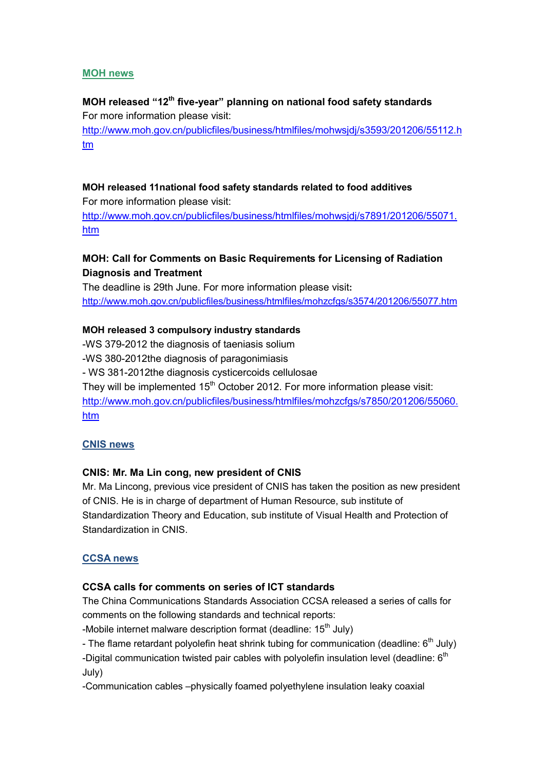### **MOH news**

# **MOH released "12th five-year" planning on national food safety standards** For more information please visit: [http://www.moh.gov.cn/publicfiles/business/htmlfiles/mohwsjdj/s3593/201206/55112.h](http://www.moh.gov.cn/publicfiles/business/htmlfiles/mohwsjdj/s3593/201206/55112.htm) [tm](http://www.moh.gov.cn/publicfiles/business/htmlfiles/mohwsjdj/s3593/201206/55112.htm)

### **MOH released 11national food safety standards related to food additives**

For more information please visit:

[http://www.moh.gov.cn/publicfiles/business/htmlfiles/mohwsjdj/s7891/201206/55071.](http://www.moh.gov.cn/publicfiles/business/htmlfiles/mohwsjdj/s7891/201206/55071.htm) [htm](http://www.moh.gov.cn/publicfiles/business/htmlfiles/mohwsjdj/s7891/201206/55071.htm)

# **MOH: Call for Comments on Basic Requirements for Licensing of Radiation Diagnosis and Treatment**

The deadline is 29th June. For more information please visit**:** <http://www.moh.gov.cn/publicfiles/business/htmlfiles/mohzcfgs/s3574/201206/55077.htm>

### **MOH released 3 compulsory industry standards**

-WS 379-2012 the diagnosis of taeniasis solium -WS 380-2012the diagnosis of paragonimiasis - WS 381-2012the diagnosis cysticercoids cellulosae They will be implemented  $15<sup>th</sup>$  October 2012. For more information please visit: [http://www.moh.gov.cn/publicfiles/business/htmlfiles/mohzcfgs/s7850/201206/55060.](http://www.moh.gov.cn/publicfiles/business/htmlfiles/mohzcfgs/s7850/201206/55060.htm) [htm](http://www.moh.gov.cn/publicfiles/business/htmlfiles/mohzcfgs/s7850/201206/55060.htm)

### **CNIS news**

### **CNIS: Mr. Ma Lin cong, new president of CNIS**

Mr. Ma Lincong, previous vice president of CNIS has taken the position as new president of CNIS. He is in charge of department of Human Resource, sub institute of Standardization Theory and Education, sub institute of Visual Health and Protection of Standardization in CNIS.

### **CCSA news**

### **CCSA calls for comments on series of ICT standards**

The China Communications Standards Association CCSA released a series of calls for comments on the following standards and technical reports:

-Mobile internet malware description format (deadline:  $15<sup>th</sup>$  July)

- The flame retardant polyolefin heat shrink tubing for communication (deadline:  $6<sup>th</sup>$  July) -Digital communication twisted pair cables with polyolefin insulation level (deadline: 6<sup>th</sup>

July)

-Communication cables –physically foamed polyethylene insulation leaky coaxial